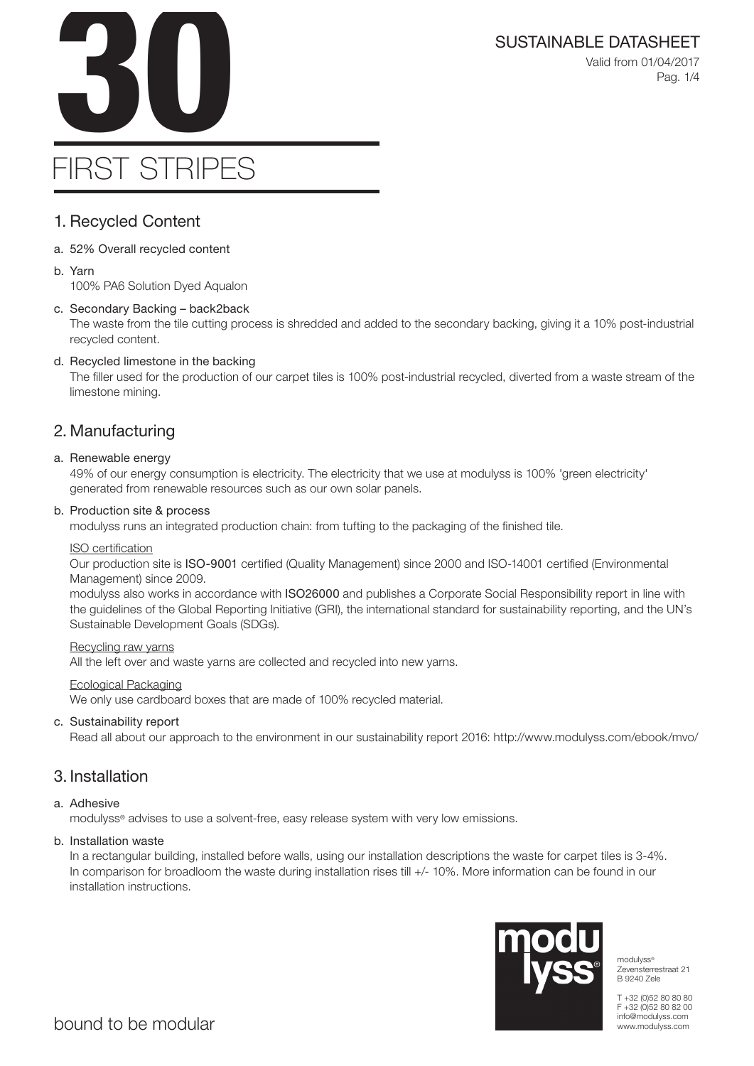SUSTAINABLE DATASHEET<br>Valid from 01/04/2017<br>Pag. 1/4 Valid from 01/04/2017 Pag. 1/4

# FIRST STRIPES

### 1. Recycled Content

- a. 52% Overall recycled content
- b. Yarn

100% PA6 Solution Dyed Aqualon

### c. Secondary Backing – back2back

The waste from the tile cutting process is shredded and added to the secondary backing, giving it a 10% post-industrial recycled content.

### d. Recycled limestone in the backing

The filler used for the production of our carpet tiles is 100% post-industrial recycled, diverted from a waste stream of the limestone mining.

### 2. Manufacturing

### a. Renewable energy

49% of our energy consumption is electricity. The electricity that we use at modulyss is 100% 'green electricity' generated from renewable resources such as our own solar panels.

### b. Production site & process

modulyss runs an integrated production chain: from tufting to the packaging of the finished tile.

### ISO certification

Our production site is ISO-9001 certified (Quality Management) since 2000 and ISO-14001 certified (Environmental Management) since 2009.

modulyss also works in accordance with ISO26000 and publishes a Corporate Social Responsibility report in line with the guidelines of the Global Reporting Initiative (GRI), the international standard for sustainability reporting, and the UN's Sustainable Development Goals (SDGs).

#### Recycling raw yarns

All the left over and waste yarns are collected and recycled into new yarns.

#### Ecological Packaging

We only use cardboard boxes that are made of 100% recycled material.

### c. Sustainability report

Read all about our approach to the environment in our sustainability report 2016: http://www.modulyss.com/ebook/mvo/

### 3. Installation

### a. Adhesive

modulyss® advises to use a solvent-free, easy release system with very low emissions.

### b. Installation waste

In a rectangular building, installed before walls, using our installation descriptions the waste for carpet tiles is 3-4%. In comparison for broadloom the waste during installation rises till +/- 10%. More information can be found in our installation instructions.



modulyss® Zevensterrestraat 21 B 9240 Zele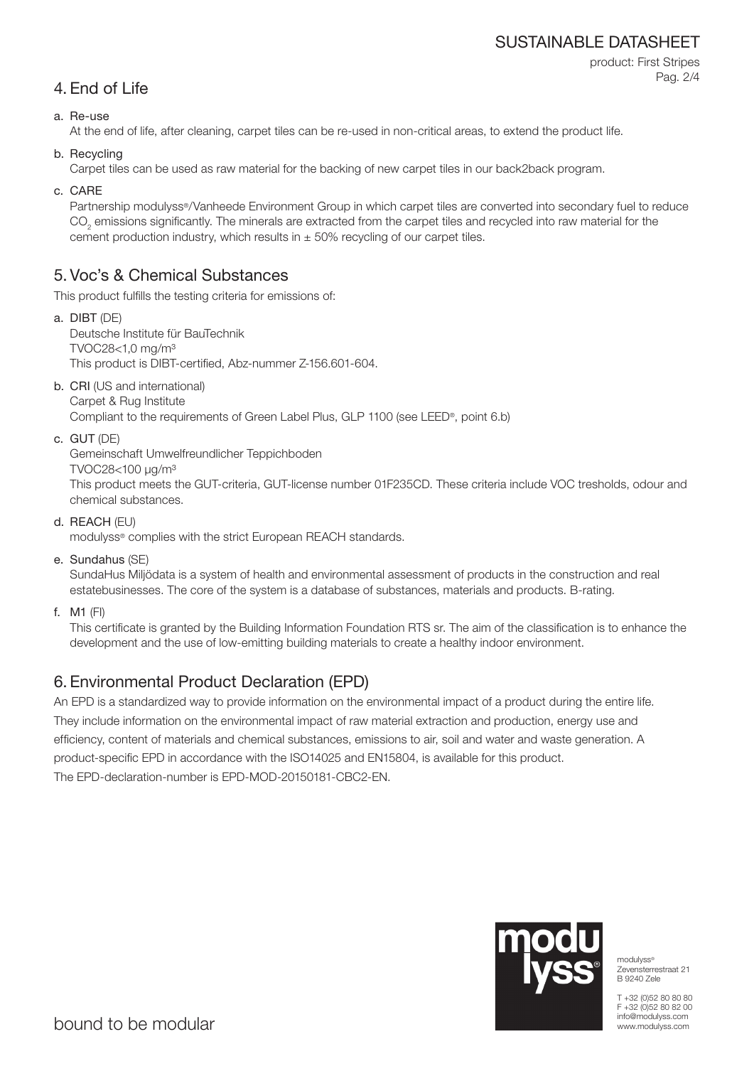### SUSTAINABLE DATASHEET

product: First Stripes Pag. 2/4

### 4. End of Life

### a. Re-use

At the end of life, after cleaning, carpet tiles can be re-used in non-critical areas, to extend the product life.

b. Recycling

Carpet tiles can be used as raw material for the backing of new carpet tiles in our back2back program.

c. CARE

Partnership modulyss®/Vanheede Environment Group in which carpet tiles are converted into secondary fuel to reduce  $\mathrm{CO}_2$  emissions significantly. The minerals are extracted from the carpet tiles and recycled into raw material for the cement production industry, which results in  $\pm$  50% recycling of our carpet tiles.

### 5. Voc's & Chemical Substances

This product fulfills the testing criteria for emissions of:

- a. DIBT (DE) Deutsche Institute für BauTechnik TVOC28<1,0 mg/m³ This product is DIBT-certified, Abz-nummer Z-156.601-604.
- b. CRI (US and international) Carpet & Rug Institute

Compliant to the requirements of Green Label Plus, GLP 1100 (see LEED®, point 6.b)

c. GUT (DE)

Gemeinschaft Umwelfreundlicher Teppichboden

TVOC28<100 μg/m³

This product meets the GUT-criteria, GUT-license number 01F235CD. These criteria include VOC tresholds, odour and chemical substances.

d. REACH (EU)

modulyss® complies with the strict European REACH standards.

e. Sundahus (SE)

SundaHus Miljödata is a system of health and environmental assessment of products in the construction and real estatebusinesses. The core of the system is a database of substances, materials and products. B-rating.

f. M1 (FI)

This certificate is granted by the Building Information Foundation RTS sr. The aim of the classification is to enhance the development and the use of low-emitting building materials to create a healthy indoor environment.

## 6. Environmental Product Declaration (EPD)

An EPD is a standardized way to provide information on the environmental impact of a product during the entire life. They include information on the environmental impact of raw material extraction and production, energy use and efficiency, content of materials and chemical substances, emissions to air, soil and water and waste generation. A product-specific EPD in accordance with the ISO14025 and EN15804, is available for this product. The EPD-declaration-number is EPD-MOD-20150181-CBC2-EN.



modulyss® Zevensterrestraat 21 B 9240 Zele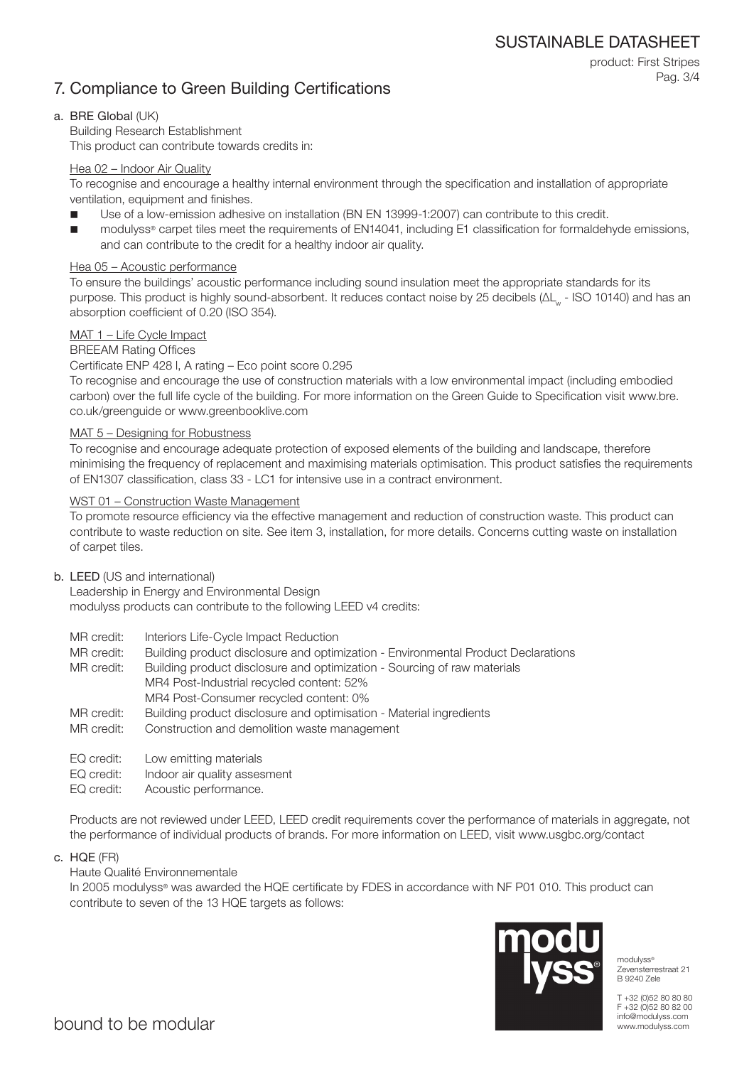product: First Stripes

Pag. 3/4

### 7. Compliance to Green Building Certifications

### a. BRE Global (UK)

Building Research Establishment This product can contribute towards credits in:

### Hea 02 – Indoor Air Quality

To recognise and encourage a healthy internal environment through the specification and installation of appropriate ventilation, equipment and finishes.

- Use of a low-emission adhesive on installation (BN EN 13999-1:2007) can contribute to this credit.
- modulyss® carpet tiles meet the requirements of EN14041, including E1 classification for formaldehyde emissions, and can contribute to the credit for a healthy indoor air quality.

### Hea 05 – Acoustic performance

To ensure the buildings' acoustic performance including sound insulation meet the appropriate standards for its purpose. This product is highly sound-absorbent. It reduces contact noise by 25 decibels (ΔL<sub>w</sub> - ISO 10140) and has an absorption coefficient of 0.20 (ISO 354).

### MAT 1 – Life Cycle Impact

### BREEAM Rating Offices

Certificate ENP 428 l, A rating – Eco point score 0.295

To recognise and encourage the use of construction materials with a low environmental impact (including embodied carbon) over the full life cycle of the building. For more information on the Green Guide to Specification visit www.bre. co.uk/greenguide or www.greenbooklive.com

### MAT 5 – Designing for Robustness

To recognise and encourage adequate protection of exposed elements of the building and landscape, therefore minimising the frequency of replacement and maximising materials optimisation. This product satisfies the requirements of EN1307 classification, class 33 - LC1 for intensive use in a contract environment.

### WST 01 – Construction Waste Management

To promote resource efficiency via the effective management and reduction of construction waste. This product can contribute to waste reduction on site. See item 3, installation, for more details. Concerns cutting waste on installation of carpet tiles.

### b. LEED (US and international)

Leadership in Energy and Environmental Design modulyss products can contribute to the following LEED v4 credits:

- MR credit: Interiors Life-Cycle Impact Reduction
- MR credit: Building product disclosure and optimization Environmental Product Declarations

MR credit: Building product disclosure and optimization - Sourcing of raw materials MR4 Post-Industrial recycled content: 52% MR4 Post-Consumer recycled content: 0%

- MR credit: Building product disclosure and optimisation Material ingredients
- MR credit: Construction and demolition waste management
- EQ credit: Low emitting materials
- EQ credit: Indoor air quality assesment
- EQ credit: Acoustic performance.

Products are not reviewed under LEED, LEED credit requirements cover the performance of materials in aggregate, not the performance of individual products of brands. For more information on LEED, visit www.usgbc.org/contact

c. HQE (FR)

### Haute Qualité Environnementale

In 2005 modulyss® was awarded the HQE certificate by FDES in accordance with NF P01 010. This product can contribute to seven of the 13 HQE targets as follows:



modulyss® Zevensterrestraat 21 B 9240 Zele